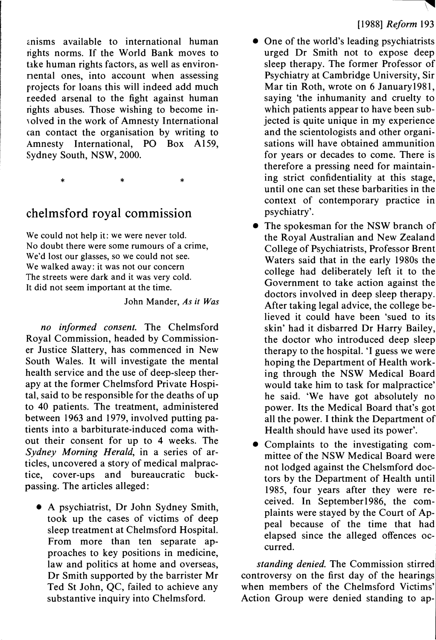anisms available to international human rights norms. If the World Bank moves to take human rights factors, as well as environmental ones, into account when assessing projects for loans this will indeed add much reeded arsenal to the fight against human rights abuses. Those wishing to become involved in the work of Amnesty International can contact the organisation by writing to Amnesty International, PO Box A159, Sydney South, NSW, 2000.

\* \* \*

## **chelmsford royal commission**

**We could not help it: we were never told. No doubt there were some rumours of a crime, We'd lost our glasses, so we could not see. We walked away: it was not our concern The streets were dark and it was very cold. It did not seem important at the time.**

**John Mander,** *As it Was*

*no informed consent.* The Chelmsford Royal Commission, headed by Commissioner Justice Slattery, has commenced in New South Wales. It will investigate the mental health service and the use of deep-sleep therapy at the former Chelmsford Private Hospital, said to be responsible for the deaths of up to 40 patients. The treatment, administered between 1963 and 1979, involved putting patients into a barbiturate-induced coma without their consent for up to 4 weeks. The *Sydney Morning Herald*, in a series of articles, uncovered a story of medical malpractice, cover-ups and bureaucratic buckpassing. The articles alleged:

• <sup>A</sup> psychiatrist, Dr John Sydney Smith, took up the cases of victims of deep sleep treatment at Chelmsford Hospital. From more than ten separate approaches to key positions in medicine, law and politics at home and overseas, Dr Smith supported by the barrister Mr Ted St John, QC, failed to achieve any substantive inquiry into Chelmsford.

- One of the world's leading psychiatrists urged Dr Smith not to expose deep sleep therapy. The former Professor of Psychiatry at Cambridge University, Sir Mar tin Roth, wrote on 6 January 1981, saying 'the inhumanity and cruelty to which patients appear to have been subjected is quite unique in my experience and the scientologists and other organisations will have obtained ammunition for years or decades to come. There is therefore a pressing need for maintaining strict confidentiality at this stage, until one can set these barbarities in the context of contemporary practice in psychiatry'.
- The spokesman for the NSW branch of the Royal Australian and New Zealand College of Psychiatrists, Professor Brent Waters said that in the early 1980s the college had deliberately left it to the Government to take action against the doctors involved in deep sleep therapy. After taking legal advice, the college believed it could have been 'sued to its skin' had it disbarred Dr Harry Bailey, the doctor who introduced deep sleep therapy to the hospital. 'I guess we were hoping the Department of Health working through the NSW Medical Board would take him to task for malpractice' he said. 'We have got absolutely no power. Its the Medical Board that's got all the power. I think the Department of Health should have used its power'.
- Complaints to the investigating committee of the NSW Medical Board were not lodged against the Chelsmford doctors by the Department of Health until 1985, four years after they were received. In Septemberl986, the complaints were stayed by the Court of Appeal because of the time that had elapsed since the alleged offences occurred.

*standing denied.* The Commission stirred controversy on the first day of the hearings when members of the Chelmsford Victims' Action Group were denied standing to ap